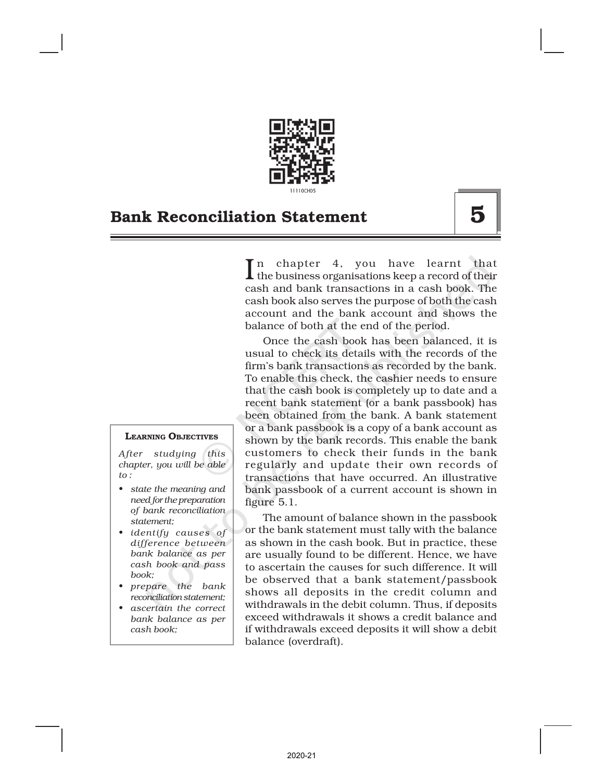

In chapter 4, you have learnt that<br>the business organisations keep a record of their the business organisations keep a record of their cash and bank transactions in a cash book. The cash book also serves the purpose of both the cash account and the bank account and shows the balance of both at the end of the period.

Once the cash book has been balanced, it is usual to check its details with the records of the firm's bank transactions as recorded by the bank. To enable this check, the cashier needs to ensure that the cash book is completely up to date and a recent bank statement (or a bank passbook) has been obtained from the bank. A bank statement or a bank passbook is a copy of a bank account as shown by the bank records. This enable the bank customers to check their funds in the bank regularly and update their own records of transactions that have occurred. An illustrative bank passbook of a current account is shown in figure 5.1.

The amount of balance shown in the passbook or the bank statement must tally with the balance as shown in the cash book. But in practice, these are usually found to be different. Hence, we have to ascertain the causes for such difference. It will be observed that a bank statement/passbook shows all deposits in the credit column and withdrawals in the debit column. Thus, if deposits exceed withdrawals it shows a credit balance and if withdrawals exceed deposits it will show a debit balance (overdraft).

#### LEARNING OBJECTIVES

*After studying this chapter, you will be able to :*

- *• state the meaning and need for the preparation of bank reconciliation statement;*
- *• identify causes of difference between bank balance as per cash book and pass book;*
- *• prepare the bank reconciliation statement;*
- *• ascertain the correct bank balance as per cash book;*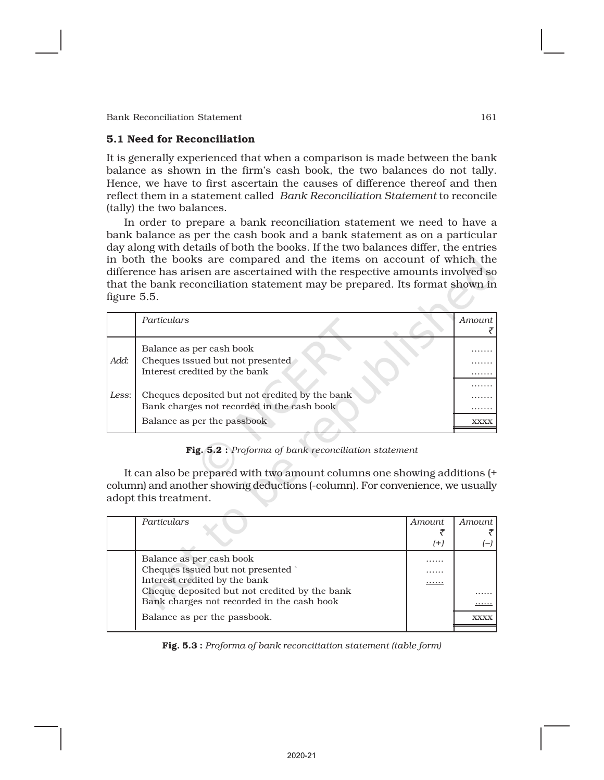# 5.1 Need for Reconciliation

It is generally experienced that when a comparison is made between the bank balance as shown in the firm's cash book, the two balances do not tally. Hence, we have to first ascertain the causes of difference thereof and then reflect them in a statement called *Bank Reconciliation Statement* to reconcile (tally) the two balances.

In order to prepare a bank reconciliation statement we need to have a bank balance as per the cash book and a bank statement as on a particular day along with details of both the books. If the two balances differ, the entries in both the books are compared and the items on account of which the difference has arisen are ascertained with the respective amounts involved so that the bank reconciliation statement may be prepared. Its format shown in figure 5.5.

|       | Particulars                                                                                   | Amount      |
|-------|-----------------------------------------------------------------------------------------------|-------------|
| Add:  | Balance as per cash book<br>Cheques issued but not presented<br>Interest credited by the bank | .           |
| Less: | Cheques deposited but not credited by the bank<br>Bank charges not recorded in the cash book  |             |
|       | Balance as per the passbook                                                                   | <b>XXXX</b> |

# Fig. 5.2 : *Proforma of bank reconciliation statement*

It can also be prepared with two amount columns one showing additions (+ column) and another showing deductions (-column). For convenience, we usually adopt this treatment.

| Particulars |                                               | <i>Amount</i> | Amount      |
|-------------|-----------------------------------------------|---------------|-------------|
|             |                                               | (+)           |             |
|             | Balance as per cash book                      | .             |             |
|             | Cheques issued but not presented              | .             |             |
|             | Interest credited by the bank                 |               |             |
|             | Cheque deposited but not credited by the bank |               | .           |
|             | Bank charges not recorded in the cash book    |               | .           |
|             | Balance as per the passbook.                  |               | <b>XXXX</b> |
|             |                                               |               |             |

# Fig. 5.3 : *Proforma of bank reconcitiation statement (table form)*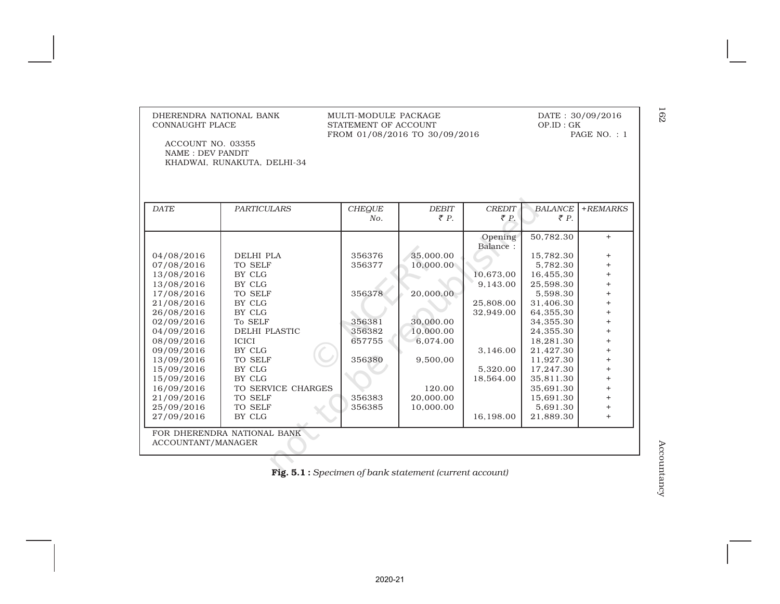| DHERENDRA NATIONAL BANK<br>CONNAUGHT PLACE                                  |                             | MULTI-MODULE PACKAGE<br>STATEMENT OF ACCOUNT<br>FROM 01/08/2016 TO 30/09/2016 |                                                                | DATE: 30/09/2016<br>OP.ID : GK<br>PAGE NO.: 1 |                                   |                |
|-----------------------------------------------------------------------------|-----------------------------|-------------------------------------------------------------------------------|----------------------------------------------------------------|-----------------------------------------------|-----------------------------------|----------------|
| ACCOUNT NO. 03355<br><b>NAME: DEV PANDIT</b><br>KHADWAI, RUNAKUTA, DELHI-34 |                             |                                                                               |                                                                |                                               |                                   |                |
|                                                                             |                             |                                                                               |                                                                |                                               |                                   |                |
| <b>DATE</b>                                                                 | <b>PARTICULARS</b>          | <b>CHEQUE</b><br>No.                                                          | <b>DEBIT</b><br>$\bar{\tau}$ P.                                | <b>CREDIT</b><br>$\bar{\tau} P$ .             | <b>BALANCE</b><br>$\bar{\tau}$ P. | $+REMARKS$     |
|                                                                             |                             |                                                                               |                                                                |                                               |                                   |                |
|                                                                             |                             |                                                                               |                                                                | Opening<br>Balance:                           | 50,782.30                         | $^{+}$         |
| 04/08/2016                                                                  | <b>DELHI PLA</b>            | 356376                                                                        | 35,000.00                                                      |                                               | 15,782.30                         | $^{+}$         |
| 07/08/2016                                                                  | TO SELF                     | 356377                                                                        | 10,000.00                                                      |                                               | 5,782.30                          | $\ddot{}$      |
| 13/08/2016                                                                  | BY CLG                      |                                                                               |                                                                | 10,673,00                                     | 16,455,30                         | $\ddot{}$      |
| 13/08/2016                                                                  | BY CLG                      |                                                                               |                                                                | 9,143.00                                      | 25,598.30                         | $\ddot{}$      |
| 17/08/2016                                                                  | TO SELF                     | 356378                                                                        | 20,000.00                                                      |                                               | 5,598.30                          | $^{+}$         |
| 21/08/2016                                                                  | BY CLG                      |                                                                               |                                                                | 25,808.00                                     | 31,406.30                         | $\ddot{}$      |
| 26/08/2016                                                                  | BY CLG                      |                                                                               |                                                                | 32,949.00                                     | 64,355,30                         | $^{+}$         |
| 02/09/2016                                                                  | To SELF                     | 356381                                                                        | 30,000.00                                                      |                                               | 34,355.30                         | $\ddot{}$      |
| 04/09/2016                                                                  | <b>DELHI PLASTIC</b>        | 356382                                                                        | 10,000.00                                                      |                                               | 24,355.30                         | $\overline{+}$ |
| 08/09/2016                                                                  | <b>ICICI</b>                | 657755                                                                        | 6,074.00                                                       |                                               | 18,281.30                         | $^{+}$         |
| 09/09/2016                                                                  | BY CLG                      |                                                                               |                                                                | 3,146.00                                      | 21,427.30                         | $\ddot{}$      |
| 13/09/2016                                                                  | TO SELF                     | 356380                                                                        | 9,500,00                                                       |                                               | 11,927.30                         | $^{+}$         |
| 15/09/2016                                                                  | BY CLG                      |                                                                               |                                                                | 5,320.00                                      | 17,247.30                         | $\ddot{}$      |
| 15/09/2016                                                                  | BY CLG                      |                                                                               |                                                                | 18,564.00                                     | 35,811.30                         | $\ddot{}$      |
| 16/09/2016                                                                  | TO SERVICE CHARGES          |                                                                               | 120.00                                                         |                                               | 35,691.30                         | $\ddot{}$      |
| 21/09/2016                                                                  | TO SELF                     | 356383                                                                        | 20,000.00                                                      |                                               | 15,691.30                         | $\ddot{}$      |
| 25/09/2016                                                                  | TO SELF                     | 356385                                                                        | 10,000.00                                                      |                                               | 5,691.30                          | $^{+}$         |
| 27/09/2016                                                                  | BY CLG                      |                                                                               |                                                                | 16,198.00                                     | 21,889.30                         | $^{+}$         |
|                                                                             | FOR DHERENDRA NATIONAL BANK |                                                                               |                                                                |                                               |                                   |                |
| ACCOUNTANT/MANAGER                                                          |                             |                                                                               |                                                                |                                               |                                   |                |
|                                                                             |                             |                                                                               |                                                                |                                               |                                   |                |
|                                                                             |                             |                                                                               | <b>Fig. 5.1</b> : Specimen of bank statement (current account) |                                               |                                   |                |
|                                                                             |                             |                                                                               |                                                                |                                               |                                   |                |
|                                                                             |                             |                                                                               |                                                                |                                               |                                   |                |

162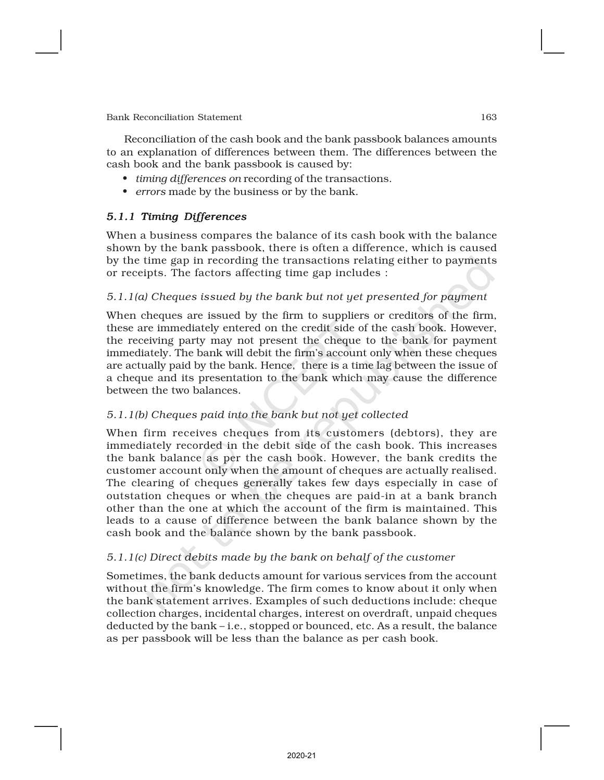Reconciliation of the cash book and the bank passbook balances amounts to an explanation of differences between them. The differences between the cash book and the bank passbook is caused by:

- *• timing differences on* recording of the transactions.
- *• errors* made by the business or by the bank.

# *5.1.1 Timing Differences*

When a business compares the balance of its cash book with the balance shown by the bank passbook, there is often a difference, which is caused by the time gap in recording the transactions relating either to payments or receipts. The factors affecting time gap includes :

# *5.1.1(a) Cheques issued by the bank but not yet presented for payment*

When cheques are issued by the firm to suppliers or creditors of the firm, these are immediately entered on the credit side of the cash book. However, the receiving party may not present the cheque to the bank for payment immediately. The bank will debit the firm's account only when these cheques are actually paid by the bank. Hence, there is a time lag between the issue of a cheque and its presentation to the bank which may cause the difference between the two balances.

# *5.1.1(b) Cheques paid into the bank but not yet collected*

When firm receives cheques from its customers (debtors), they are immediately recorded in the debit side of the cash book. This increases the bank balance as per the cash book. However, the bank credits the customer account only when the amount of cheques are actually realised. The clearing of cheques generally takes few days especially in case of outstation cheques or when the cheques are paid-in at a bank branch other than the one at which the account of the firm is maintained. This leads to a cause of difference between the bank balance shown by the cash book and the balance shown by the bank passbook.

# *5.1.1(c) Direct debits made by the bank on behalf of the customer*

Sometimes, the bank deducts amount for various services from the account without the firm's knowledge. The firm comes to know about it only when the bank statement arrives. Examples of such deductions include: cheque collection charges, incidental charges, interest on overdraft, unpaid cheques deducted by the bank – i.e., stopped or bounced, etc. As a result, the balance as per passbook will be less than the balance as per cash book.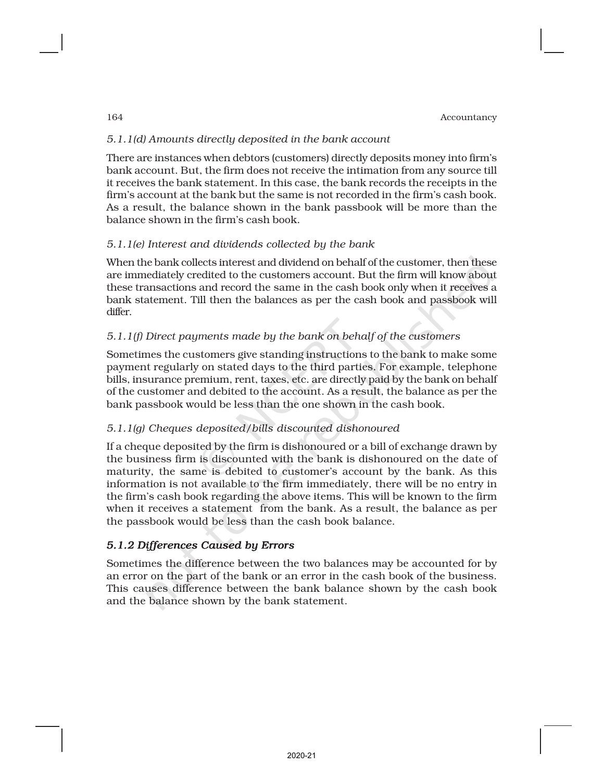# *5.1.1(d) Amounts directly deposited in the bank account*

There are instances when debtors (customers) directly deposits money into firm's bank account. But, the firm does not receive the intimation from any source till it receives the bank statement. In this case, the bank records the receipts in the firm's account at the bank but the same is not recorded in the firm's cash book. As a result, the balance shown in the bank passbook will be more than the balance shown in the firm's cash book.

# *5.1.1(e) Interest and dividends collected by the bank*

When the bank collects interest and dividend on behalf of the customer, then these are immediately credited to the customers account. But the firm will know about these transactions and record the same in the cash book only when it receives a bank statement. Till then the balances as per the cash book and passbook will differ.

# *5.1.1(f) Direct payments made by the bank on behalf of the customers*

Sometimes the customers give standing instructions to the bank to make some payment regularly on stated days to the third parties. For example, telephone bills, insurance premium, rent, taxes, etc. are directly paid by the bank on behalf of the customer and debited to the account. As a result, the balance as per the bank passbook would be less than the one shown in the cash book.

# *5.1.1(g) Cheques deposited/bills discounted dishonoured*

If a cheque deposited by the firm is dishonoured or a bill of exchange drawn by the business firm is discounted with the bank is dishonoured on the date of maturity, the same is debited to customer's account by the bank. As this information is not available to the firm immediately, there will be no entry in the firm's cash book regarding the above items. This will be known to the firm when it receives a statement from the bank. As a result, the balance as per the passbook would be less than the cash book balance.

# *5.1.2 Differences Caused by Errors*

Sometimes the difference between the two balances may be accounted for by an error on the part of the bank or an error in the cash book of the business. This causes difference between the bank balance shown by the cash book and the balance shown by the bank statement.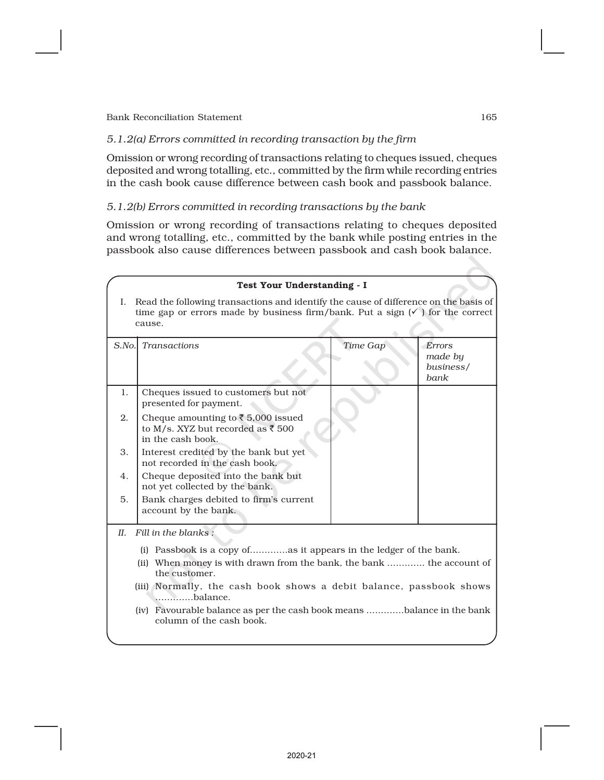# *5.1.2(a) Errors committed in recording transaction by the firm*

Omission or wrong recording of transactions relating to cheques issued, cheques deposited and wrong totalling, etc., committed by the firm while recording entries in the cash book cause difference between cash book and passbook balance.

# *5.1.2(b) Errors committed in recording transactions by the bank*

Omission or wrong recording of transactions relating to cheques deposited and wrong totalling, etc., committed by the bank while posting entries in the passbook also cause differences between passbook and cash book balance.

|        | Test Your Understanding - I                                                                                                                                                                                                                                                                                              |          |                                               |
|--------|--------------------------------------------------------------------------------------------------------------------------------------------------------------------------------------------------------------------------------------------------------------------------------------------------------------------------|----------|-----------------------------------------------|
|        | I. Read the following transactions and identify the cause of difference on the basis of<br>time gap or errors made by business firm/bank. Put a sign $(\checkmark)$ for the correct<br>cause.                                                                                                                            |          |                                               |
| S.No.  | <b>Transactions</b>                                                                                                                                                                                                                                                                                                      | Time Gap | <b>Errors</b><br>made by<br>business/<br>bank |
| 1.     | Cheques issued to customers but not<br>presented for payment.                                                                                                                                                                                                                                                            |          |                                               |
| 2.     | Cheque amounting to $\bar{\tau}$ 5,000 issued<br>to M/s. XYZ but recorded as ₹ 500<br>in the cash book.                                                                                                                                                                                                                  |          |                                               |
| 3.     | Interest credited by the bank but yet<br>not recorded in the cash book.                                                                                                                                                                                                                                                  |          |                                               |
| 4.     | Cheque deposited into the bank but<br>not yet collected by the bank.                                                                                                                                                                                                                                                     |          |                                               |
| 5.     | Bank charges debited to firm's current<br>account by the bank.                                                                                                                                                                                                                                                           |          |                                               |
| $II$ . | Fill in the blanks:                                                                                                                                                                                                                                                                                                      |          |                                               |
|        | (i) Passbook is a copy ofas it appears in the ledger of the bank.<br>(ii) When money is with drawn from the bank, the bank  the account of<br>the customer.<br>(iii) Normally, the cash book shows a debit balance, passbook shows<br>balance.<br>(iv) Favourable balance as per the cash book means balance in the bank |          |                                               |
|        | column of the cash book.                                                                                                                                                                                                                                                                                                 |          |                                               |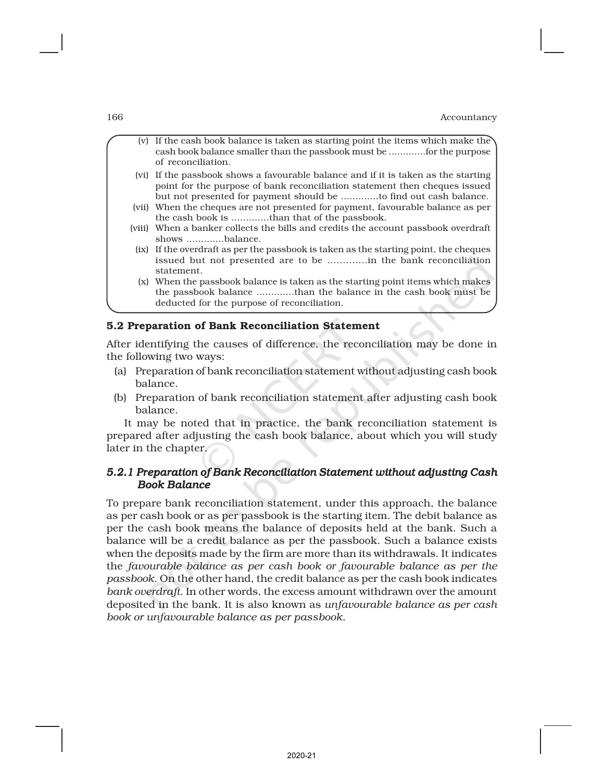(v) If the cash book balance is taken as starting point the items which make the cash book balance smaller than the passbook must be .............for the purpose of reconciliation. (vi) If the passbook shows a favourable balance and if it is taken as the starting point for the purpose of bank reconciliation statement then cheques issued but not presented for payment should be .............to find out cash balance. (vii) When the cheques are not presented for payment, favourable balance as per the cash book is .............than that of the passbook. (viii) When a banker collects the bills and credits the account passbook overdraft shows .............balance. (ix) If the overdraft as per the passbook is taken as the starting point, the cheques issued but not presented are to be .............in the bank reconciliation statement. (x) When the passbook balance is taken as the starting point items which makes the passbook balance .............than the balance in the cash book must be deducted for the purpose of reconciliation.

### 5.2 Preparation of Bank Reconciliation Statement

After identifying the causes of difference, the reconciliation may be done in the following two ways:

- (a) Preparation of bank reconciliation statement without adjusting cash book balance.
- (b) Preparation of bank reconciliation statement after adjusting cash book balance.

It may be noted that in practice, the bank reconciliation statement is prepared after adjusting the cash book balance, about which you will study later in the chapter.

# *5.2.1 Preparation of Bank Reconciliation Statement without adjusting Cash Book Balance*

To prepare bank reconciliation statement, under this approach, the balance as per cash book or as per passbook is the starting item. The debit balance as per the cash book means the balance of deposits held at the bank. Such a balance will be a credit balance as per the passbook. Such a balance exists when the deposits made by the firm are more than its withdrawals. It indicates the *favourable balance as per cash book or favourable balance as per the passbook*. On the other hand, the credit balance as per the cash book indicates *bank overdraft*. In other words, the excess amount withdrawn over the amount deposited in the bank. It is also known as *unfavourable balance as per cash book or unfavourable balance as per passbook.*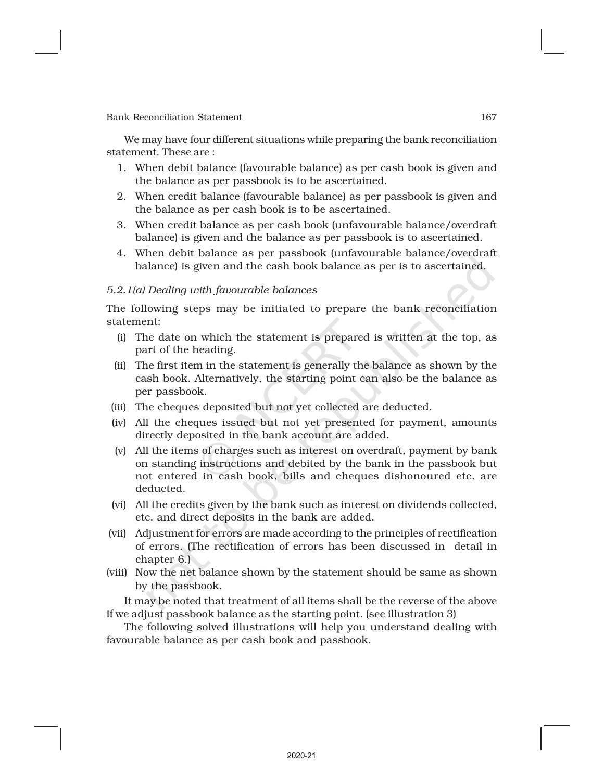We may have four different situations while preparing the bank reconciliation statement. These are :

- 1. When debit balance (favourable balance) as per cash book is given and the balance as per passbook is to be ascertained.
- 2. When credit balance (favourable balance) as per passbook is given and the balance as per cash book is to be ascertained.
- 3. When credit balance as per cash book (unfavourable balance/overdraft balance) is given and the balance as per passbook is to ascertained.
- 4. When debit balance as per passbook (unfavourable balance/overdraft balance) is given and the cash book balance as per is to ascertained.

### *5.2.1(a) Dealing with favourable balances*

The following steps may be initiated to prepare the bank reconciliation statement:

- (i) The date on which the statement is prepared is written at the top, as part of the heading.
- (ii) The first item in the statement is generally the balance as shown by the cash book. Alternatively, the starting point can also be the balance as per passbook.
- (iii) The cheques deposited but not yet collected are deducted.
- (iv) All the cheques issued but not yet presented for payment, amounts directly deposited in the bank account are added.
- (v) All the items of charges such as interest on overdraft, payment by bank on standing instructions and debited by the bank in the passbook but not entered in cash book, bills and cheques dishonoured etc. are deducted.
- (vi) All the credits given by the bank such as interest on dividends collected, etc. and direct deposits in the bank are added.
- (vii) Adjustment for errors are made according to the principles of rectification of errors. (The rectification of errors has been discussed in detail in chapter 6.)
- (viii) Now the net balance shown by the statement should be same as shown by the passbook.

It may be noted that treatment of all items shall be the reverse of the above if we adjust passbook balance as the starting point. (see illustration 3)

The following solved illustrations will help you understand dealing with favourable balance as per cash book and passbook.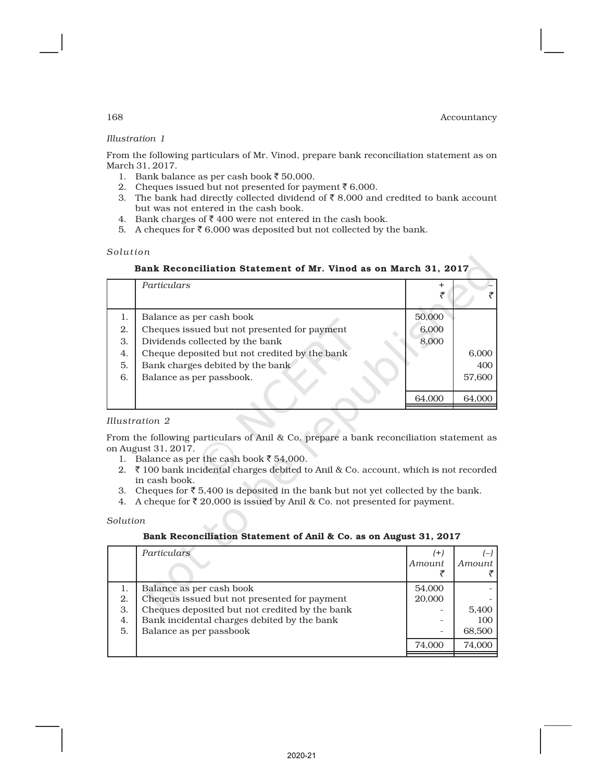# *Illustration 1*

From the following particulars of Mr. Vinod, prepare bank reconciliation statement as on March 31, 2017.

- 1. Bank balance as per cash book  $\bar{z}$  50,000.
- 2. Cheques issued but not presented for payment  $\bar{z}$  6,000.
- 3. The bank had directly collected dividend of  $\bar{z}$  8,000 and credited to bank account but was not entered in the cash book.
- 4. Bank charges of  $\bar{z}$  400 were not entered in the cash book.
- 5. A cheques for  $\bar{\tau}$  6,000 was deposited but not collected by the bank.

#### *Solution*

### Bank Reconciliation Statement of Mr. Vinod as on March 31, 2017

|    | Particulars                                   | +      |        |
|----|-----------------------------------------------|--------|--------|
|    |                                               |        |        |
| 1. | Balance as per cash book                      | 50,000 |        |
| 2. | Cheques issued but not presented for payment  | 6,000  |        |
| 3. | Dividends collected by the bank               | 8,000  |        |
| 4. | Cheque deposited but not credited by the bank |        | 6,000  |
| 5. | Bank charges debited by the bank              |        | 400    |
| 6. | Balance as per passbook.                      |        | 57,600 |
|    |                                               |        |        |
|    |                                               | 64,000 | 64,000 |

#### *Illustration 2*

From the following particulars of Anil & Co. prepare a bank reconciliation statement as on August 31, 2017.

- 1. Balance as per the cash book  $\overline{5}$  54,000.
- 2.  $\bar{\tau}$  100 bank incidental charges debited to Anil & Co. account, which is not recorded in cash book.
- 3. Cheques for  $\bar{\tau}$  5,400 is deposited in the bank but not yet collected by the bank.
- 4. A cheque for  $\bar{\tau}$  20,000 is issued by Anil & Co. not presented for payment.

*Solution*

### Bank Reconciliation Statement of Anil & Co. as on August 31, 2017

|    | Particulars                                    | $^{(+)}$ |        |
|----|------------------------------------------------|----------|--------|
|    |                                                | Amount   | Amount |
|    |                                                |          |        |
|    | Balance as per cash book                       | 54,000   |        |
| 2. | Cheqeus issued but not presented for payment   | 20,000   |        |
| 3. | Cheques deposited but not credited by the bank |          | 5,400  |
| 4. | Bank incidental charges debited by the bank    |          | 100    |
| 5. | Balance as per passbook                        |          | 68,500 |
|    |                                                | 74.000   | 74.000 |
|    |                                                |          |        |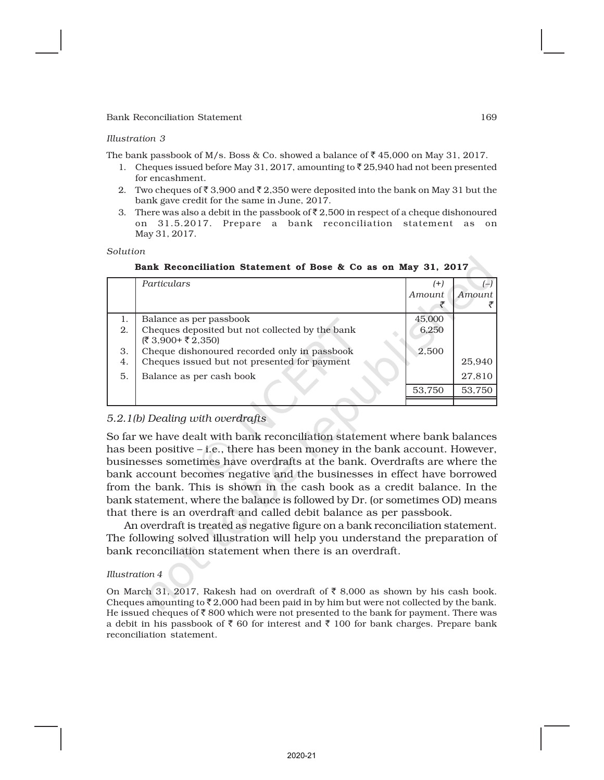#### *Illustration 3*

The bank passbook of M/s. Boss & Co. showed a balance of  $\bar{z}$  45,000 on May 31, 2017.

- 1. Cheques issued before May 31, 2017, amounting to  $\bar{\tau}$  25,940 had not been presented for encashment.
- 2. Two cheques of  $\bar{\tau}$  3,900 and  $\bar{\tau}$  2,350 were deposited into the bank on May 31 but the bank gave credit for the same in June, 2017.
- 3. There was also a debit in the passbook of  $\bar{\tau}$  2,500 in respect of a cheque dishonoured on 31.5.2017. Prepare a bank reconciliation statement as on May 31, 2017.

#### *Solution*

Bank Reconciliation Statement of Bose & Co as on May 31, 2017

|    | Particulars                                     | (+)    |        |
|----|-------------------------------------------------|--------|--------|
|    |                                                 | Amount | Amount |
|    |                                                 |        |        |
| 1. | Balance as per passbook                         | 45,000 |        |
| 2. | Cheques deposited but not collected by the bank | 6,250  |        |
|    | (₹ 3,900+ ₹ 2,350)                              |        |        |
| 3. | Cheque dishonoured recorded only in passbook    | 2,500  |        |
| 4. | Cheques issued but not presented for payment    |        | 25,940 |
| 5. | Balance as per cash book                        |        | 27,810 |
|    |                                                 | 53,750 | 53,750 |
|    |                                                 |        |        |

### *5.2.1(b) Dealing with overdrafts*

So far we have dealt with bank reconciliation statement where bank balances has been positive – *i.e.*, there has been money in the bank account. However, businesses sometimes have overdrafts at the bank. Overdrafts are where the bank account becomes negative and the businesses in effect have borrowed from the bank. This is shown in the cash book as a credit balance. In the bank statement, where the balance is followed by Dr. (or sometimes OD) means that there is an overdraft and called debit balance as per passbook.

An overdraft is treated as negative figure on a bank reconciliation statement. The following solved illustration will help you understand the preparation of bank reconciliation statement when there is an overdraft.

#### *Illustration 4*

On March 31, 2017, Rakesh had on overdraft of  $\bar{\tau}$  8,000 as shown by his cash book. Cheques amounting to  $\bar{\tau}$  2,000 had been paid in by him but were not collected by the bank. He issued cheques of  $\bar{\tau}$  800 which were not presented to the bank for payment. There was a debit in his passbook of  $\bar{\tau}$  60 for interest and  $\bar{\tau}$  100 for bank charges. Prepare bank reconciliation statement.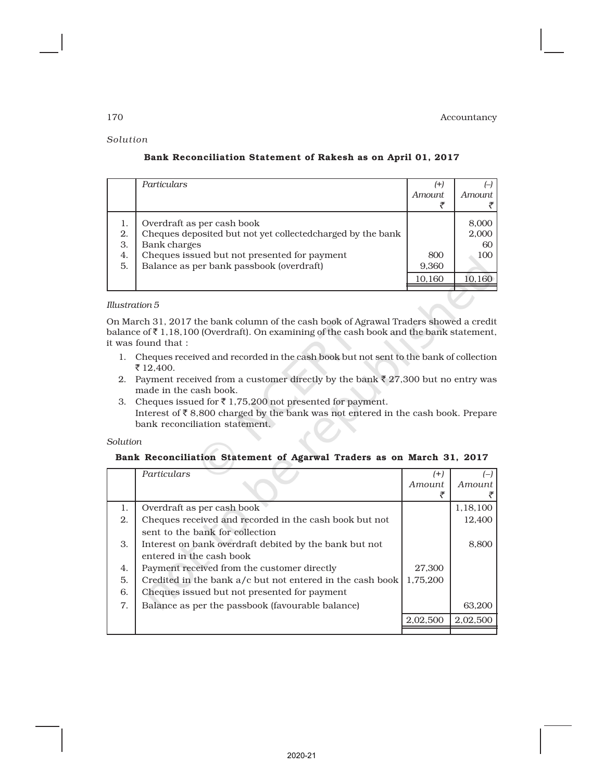#### *Solution*

|                            | Particulars                                                                                                                                                                                           | (+)<br><i>Amount</i>   | <i>Amount</i>                         |
|----------------------------|-------------------------------------------------------------------------------------------------------------------------------------------------------------------------------------------------------|------------------------|---------------------------------------|
| 1.<br>2.<br>3.<br>4.<br>5. | Overdraft as per cash book<br>Cheques deposited but not yet collected charged by the bank<br>Bank charges<br>Cheques issued but not presented for payment<br>Balance as per bank passbook (overdraft) | 800<br>9,360<br>10,160 | 8,000<br>2,000<br>60<br>100<br>10.160 |

# Bank Reconciliation Statement of Rakesh as on April 01, 2017

#### *Illustration 5*

On March 31, 2017 the bank column of the cash book of Agrawal Traders showed a credit balance of  $\bar{\tau}$  1,18,100 (Overdraft). On examining of the cash book and the bank statement, it was found that :

- 1. Cheques received and recorded in the cash book but not sent to the bank of collection ₹ 12,400.
- 2. Payment received from a customer directly by the bank  $\bar{\tau}$  27,300 but no entry was made in the cash book.
- 3. Cheques issued for  $\bar{z}$  1,75,200 not presented for payment. Interest of  $\bar{\mathcal{R}}$  8,800 charged by the bank was not entered in the cash book. Prepare bank reconciliation statement.

#### *Solution*

#### Bank Reconciliation Statement of Agarwal Traders as on March 31, 2017

|    | Particulars                                               | (+)      |          |
|----|-----------------------------------------------------------|----------|----------|
|    |                                                           | Amount   | Amount   |
|    |                                                           |          |          |
| 1. | Overdraft as per cash book                                |          | 1,18,100 |
| 2. | Cheques received and recorded in the cash book but not    |          | 12,400   |
|    | sent to the bank for collection                           |          |          |
| 3. | Interest on bank overdraft debited by the bank but not    |          | 8,800    |
|    | entered in the cash book                                  |          |          |
| 4. | Payment received from the customer directly               | 27,300   |          |
| 5. | Credited in the bank a/c but not entered in the cash book | 1,75,200 |          |
| 6. | Cheques issued but not presented for payment              |          |          |
| 7. | Balance as per the passbook (favourable balance)          |          | 63,200   |
|    |                                                           | 2,02,500 | 2,02,500 |
|    |                                                           |          |          |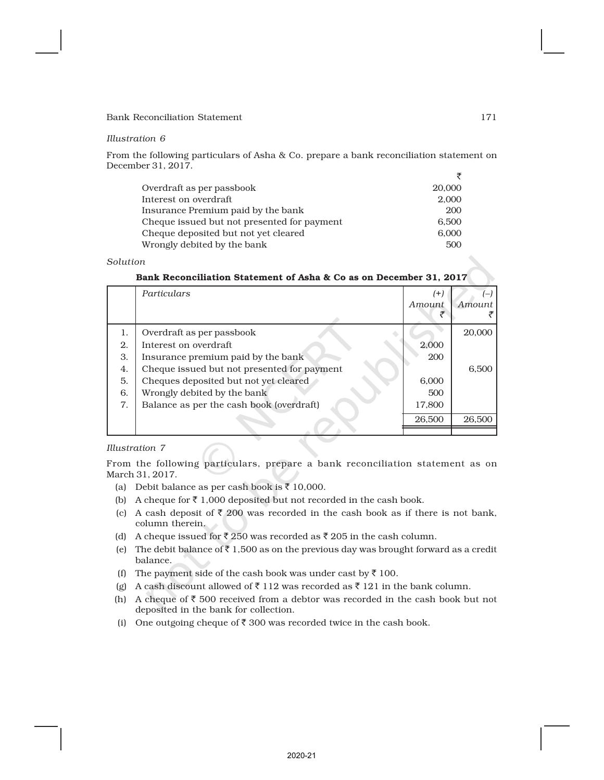#### *Illustration 6*

From the following particulars of Asha & Co. prepare a bank reconciliation statement on December 31, 2017.

| Overdraft as per passbook                   | 20,000 |
|---------------------------------------------|--------|
| Interest on overdraft                       | 2.000  |
| Insurance Premium paid by the bank          | 200    |
| Cheque issued but not presented for payment | 6.500  |
| Cheque deposited but not yet cleared        | 6.000  |
| Wrongly debited by the bank                 | 500    |

### *Solution*

|    | Particulars                                 | $(+)$<br>Amount. | Amount |
|----|---------------------------------------------|------------------|--------|
| 1. | Overdraft as per passbook                   |                  | 20,000 |
| 2. | Interest on overdraft                       | 2,000            |        |
| 3. | Insurance premium paid by the bank          | 200              |        |
| 4. | Cheque issued but not presented for payment |                  | 6,500  |
| 5. | Cheques deposited but not yet cleared       | 6,000            |        |
| 6. | Wrongly debited by the bank                 | 500              |        |
| 7. | Balance as per the cash book (overdraft)    | 17,800           |        |
|    |                                             | 26,500           | 26,500 |
|    |                                             |                  |        |

| Bank Reconciliation Statement of Asha & Co as on December 31. 2017 |  |
|--------------------------------------------------------------------|--|
|--------------------------------------------------------------------|--|

#### *Illustration 7*

From the following particulars, prepare a bank reconciliation statement as on March 31, 2017.

- (a) Debit balance as per cash book is  $\bar{z}$  10,000.
- (b) A cheque for  $\bar{z}$  1,000 deposited but not recorded in the cash book.
- (c) A cash deposit of  $\bar{\tau}$  200 was recorded in the cash book as if there is not bank, column therein.
- (d) A cheque issued for  $\overline{\xi}$  250 was recorded as  $\xi$  205 in the cash column.
- (e) The debit balance of  $\bar{\tau}$  1,500 as on the previous day was brought forward as a credit balance.
- (f) The payment side of the cash book was under cast by  $\bar{z}$  100.
- (g) A cash discount allowed of  $\bar{\tau}$  112 was recorded as  $\bar{\tau}$  121 in the bank column.
- (h) A cheque of  $\bar{\tau}$  500 received from a debtor was recorded in the cash book but not deposited in the bank for collection.
- (i) One outgoing cheque of  $\bar{z}$  300 was recorded twice in the cash book.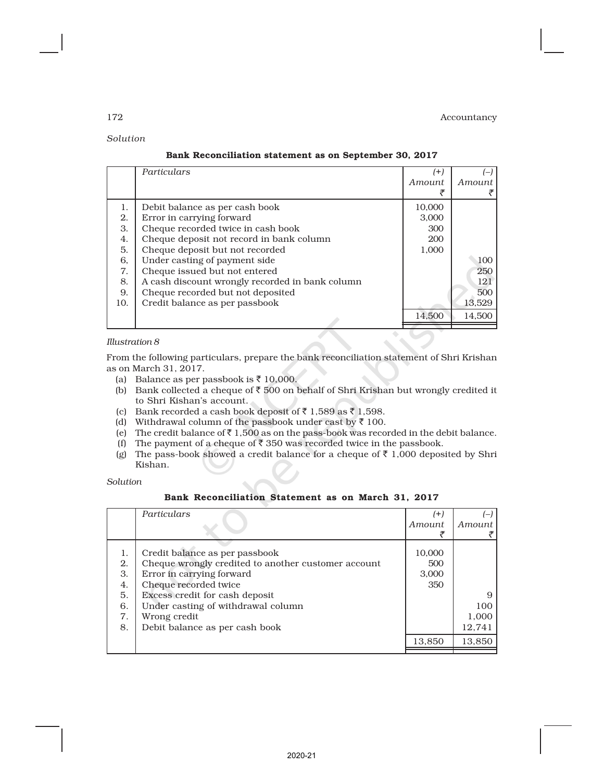# *Solution* Bank Reconciliation statement as on September 30, 2017

|     | Particulars                                     | (+)    |        |
|-----|-------------------------------------------------|--------|--------|
|     |                                                 | Amount | Amount |
|     |                                                 |        |        |
| 1.  | Debit balance as per cash book                  | 10,000 |        |
| 2.  | Error in carrying forward                       | 3,000  |        |
| 3.  | Cheque recorded twice in cash book              | 300    |        |
| 4.  | Cheque deposit not record in bank column        | 200    |        |
| 5.  | Cheque deposit but not recorded                 | 1,000  |        |
| 6,  | Under casting of payment side                   |        | 100    |
| 7.  | Cheque issued but not entered                   |        | 250    |
| 8.  | A cash discount wrongly recorded in bank column |        | 121    |
| 9.  | Cheque recorded but not deposited               |        | 500    |
| 10. | Credit balance as per passbook                  |        | 13,529 |
|     |                                                 | 14.500 | 14,500 |
|     |                                                 |        |        |

### *Illustration 8*

From the following particulars, prepare the bank reconciliation statement of Shri Krishan as on March 31, 2017.

- (a) Balance as per passbook is  $\bar{z}$  10,000.
- (b) Bank collected a cheque of  $\overline{\epsilon}$  500 on behalf of Shri Krishan but wrongly credited it to Shri Kishan's account.
- (c) Bank recorded a cash book deposit of  $\bar{z}$  1,589 as  $\bar{z}$  1,598.
- (d) Withdrawal column of the passbook under cast by  $\bar{\tau}$  100.
- (e) The credit balance of  $\bar{\tau}$  1,500 as on the pass-book was recorded in the debit balance.
- (f) The payment of a cheque of  $\bar{\tau}$  350 was recorded twice in the passbook.
- (g) The pass-book showed a credit balance for a cheque of  $\bar{\tau}$  1,000 deposited by Shri Kishan.

*Solution*

| Bank Reconciliation Statement as on March 31, 2017 |  |  |  |  |  |  |  |  |
|----------------------------------------------------|--|--|--|--|--|--|--|--|
|----------------------------------------------------|--|--|--|--|--|--|--|--|

|    | Particulars                                         | (+)    |        |
|----|-----------------------------------------------------|--------|--------|
|    |                                                     | Amount | Amount |
|    |                                                     |        |        |
| 1. | Credit balance as per passbook                      | 10,000 |        |
| 2. | Cheque wrongly credited to another customer account | 500    |        |
| 3. | Error in carrying forward                           | 3,000  |        |
| 4. | Cheque recorded twice                               | 350    |        |
| 5. | Excess credit for cash deposit                      |        |        |
| 6. | Under casting of withdrawal column                  |        | 100    |
| 7. | Wrong credit                                        |        | 1,000  |
| 8. | Debit balance as per cash book                      |        | 12,741 |
|    |                                                     | 13,850 | 13,850 |
|    |                                                     |        |        |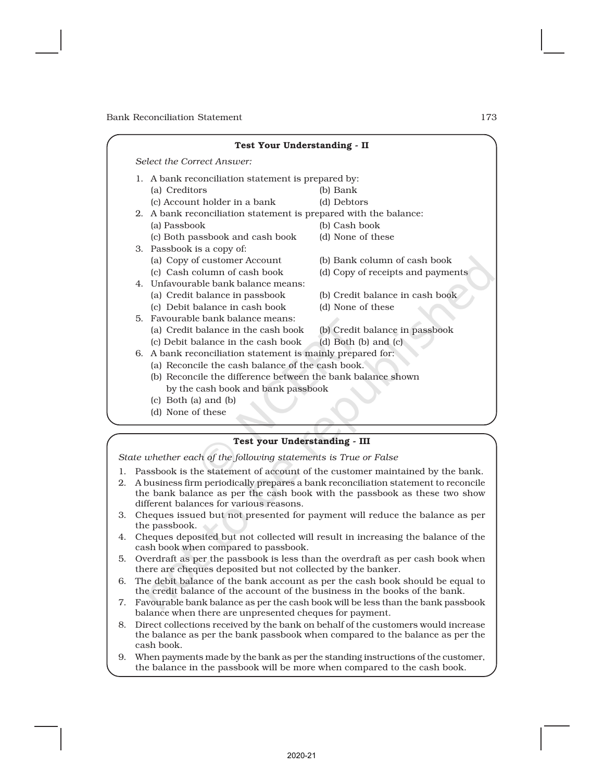|  |                                                                                                                 | <b>Test Your Understanding - II</b> |                                   |  |  |  |  |
|--|-----------------------------------------------------------------------------------------------------------------|-------------------------------------|-----------------------------------|--|--|--|--|
|  |                                                                                                                 | Select the Correct Answer:          |                                   |  |  |  |  |
|  | 1. A bank reconciliation statement is prepared by:                                                              |                                     |                                   |  |  |  |  |
|  |                                                                                                                 | (a) Creditors                       | (b) Bank                          |  |  |  |  |
|  |                                                                                                                 | (c) Account holder in a bank        | (d) Debtors                       |  |  |  |  |
|  | 2. A bank reconciliation statement is prepared with the balance:                                                |                                     |                                   |  |  |  |  |
|  |                                                                                                                 | (a) Passbook                        | (b) Cash book                     |  |  |  |  |
|  |                                                                                                                 | (c) Both passbook and cash book     | (d) None of these                 |  |  |  |  |
|  |                                                                                                                 | 3. Passbook is a copy of:           |                                   |  |  |  |  |
|  |                                                                                                                 | (a) Copy of customer Account        | (b) Bank column of cash book      |  |  |  |  |
|  |                                                                                                                 | (c) Cash column of cash book        | (d) Copy of receipts and payments |  |  |  |  |
|  |                                                                                                                 | 4. Unfavourable bank balance means: |                                   |  |  |  |  |
|  |                                                                                                                 | (a) Credit balance in passbook      | (b) Credit balance in cash book   |  |  |  |  |
|  |                                                                                                                 | (c) Debit balance in cash book      | (d) None of these                 |  |  |  |  |
|  |                                                                                                                 | 5. Favourable bank balance means:   |                                   |  |  |  |  |
|  |                                                                                                                 | (a) Credit balance in the cash book | (b) Credit balance in passbook    |  |  |  |  |
|  |                                                                                                                 | (c) Debit balance in the cash book  | (d) Both $(b)$ and $(c)$          |  |  |  |  |
|  | 6. A bank reconciliation statement is mainly prepared for:                                                      |                                     |                                   |  |  |  |  |
|  | (a) Reconcile the cash balance of the cash book.<br>(b) Reconcile the difference between the bank balance shown |                                     |                                   |  |  |  |  |
|  |                                                                                                                 |                                     |                                   |  |  |  |  |
|  | by the cash book and bank passbook                                                                              |                                     |                                   |  |  |  |  |
|  |                                                                                                                 | $(c)$ Both $(a)$ and $(b)$          |                                   |  |  |  |  |
|  |                                                                                                                 | (d) None of these                   |                                   |  |  |  |  |
|  |                                                                                                                 |                                     |                                   |  |  |  |  |

#### Test your Understanding - III

*State whether each of the following statements is True or False*

- 1. Passbook is the statement of account of the customer maintained by the bank.
- 2. A business firm periodically prepares a bank reconciliation statement to reconcile the bank balance as per the cash book with the passbook as these two show different balances for various reasons.
- 3. Cheques issued but not presented for payment will reduce the balance as per the passbook.
- 4. Cheques deposited but not collected will result in increasing the balance of the cash book when compared to passbook.
- 5. Overdraft as per the passbook is less than the overdraft as per cash book when there are cheques deposited but not collected by the banker.
- 6. The debit balance of the bank account as per the cash book should be equal to the credit balance of the account of the business in the books of the bank.
- 7. Favourable bank balance as per the cash book will be less than the bank passbook balance when there are unpresented cheques for payment.
- 8. Direct collections received by the bank on behalf of the customers would increase the balance as per the bank passbook when compared to the balance as per the cash book.
- 9. When payments made by the bank as per the standing instructions of the customer, the balance in the passbook will be more when compared to the cash book.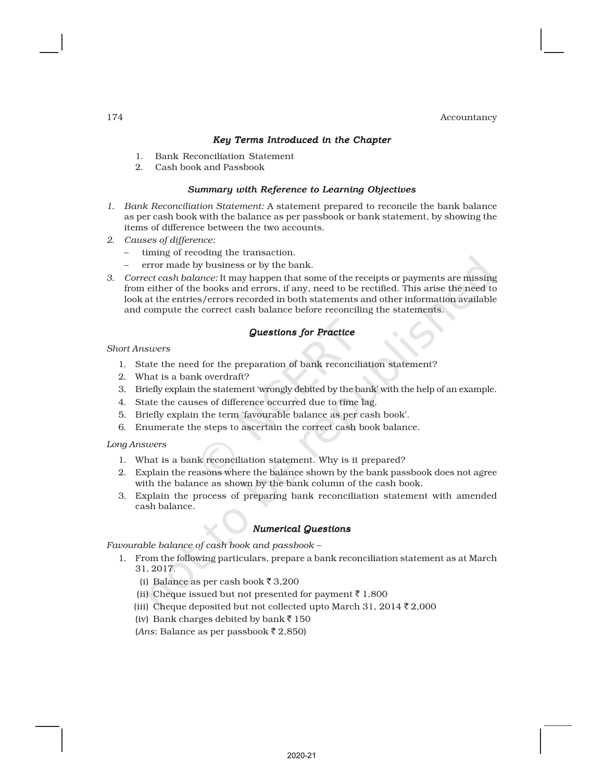#### *Key Terms Introduced in the Chapter*

- 1. Bank Reconciliation Statement
- 2. Cash book and Passbook

#### *Summary with Reference to Learning Objectives*

- *1. Bank Reconciliation Statement:* A statement prepared to reconcile the bank balance as per cash book with the balance as per passbook or bank statement, by showing the items of difference between the two accounts.
- *2. Causes of difference:*
	- timing of recoding the transaction.
	- error made by business or by the bank.
- *3. Correct cash balance:* It may happen that some of the receipts or payments are missing from either of the books and errors, if any, need to be rectified. This arise the need to look at the entries/errors recorded in both statements and other information available and compute the correct cash balance before reconciling the statements.

#### *Questions for Practice*

#### *Short Answers*

- 1. State the need for the preparation of bank reconciliation statement?
- 2. What is a bank overdraft?
- 3. Briefly explain the statement 'wrongly debited by the bank' with the help of an example.
- 4. State the causes of difference occurred due to time lag.
- 5. Briefly explain the term 'favourable balance as per cash book'.
- 6. Enumerate the steps to ascertain the correct cash book balance.

#### *Long Answers*

- 1. What is a bank reconciliation statement. Why is it prepared?
- 2. Explain the reasons where the balance shown by the bank passbook does not agree with the balance as shown by the bank column of the cash book.
- 3. Explain the process of preparing bank reconciliation statement with amended cash balance.

# *Numerical Questions*

*Favourable balance of cash book and passbook –*

- 1. From the following particulars, prepare a bank reconciliation statement as at March 31, 2017.
	- (i) Balance as per cash book  $\bar{z}$  3,200
	- (ii) Cheque issued but not presented for payment  $\bar{\tau}$  1,800
	- (iii) Cheque deposited but not collected upto March 31, 2014  $\bar{z}$  2,000
	- (iv) Bank charges debited by bank  $\bar{z}$  150
	- (*Ans*: Balance as per passbook ₹ 2,850)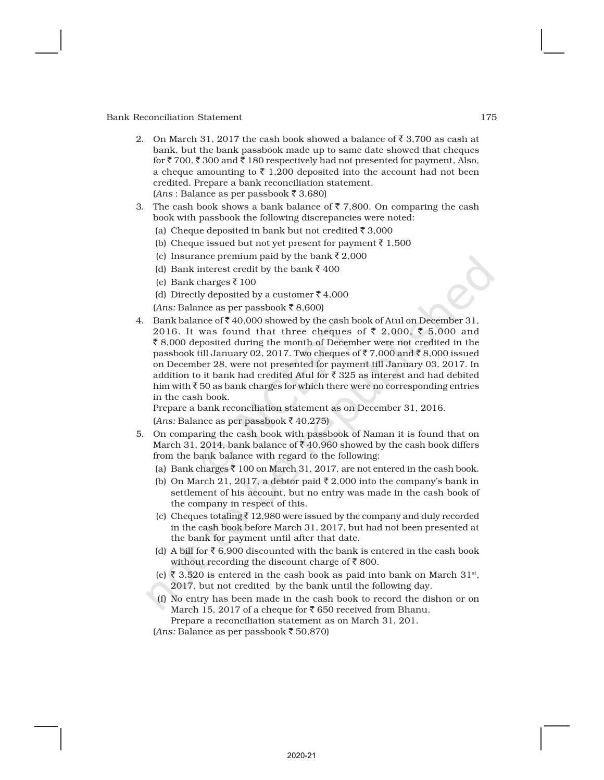- 2. On March 31, 2017 the cash book showed a balance of  $\bar{z}$  3,700 as cash at bank, but the bank passbook made up to same date showed that cheques for  $\bar{\zeta}$  700,  $\bar{\zeta}$  300 and  $\bar{\zeta}$  180 respectively had not presented for payment, Also, a cheque amounting to  $\bar{z}$  1,200 deposited into the account had not been credited. Prepare a bank reconciliation statement.  $(Ans: \text{Balance as per passbook}$  $\overline{\xi}$  3,680)
- 3. The cash book shows a bank balance of  $\bar{\tau}$  7,800. On comparing the cash book with passbook the following discrepancies were noted:
	- (a) Cheque deposited in bank but not credited  $\bar{\tau}$  3,000
	- (b) Cheque issued but not yet present for payment  $\bar{\tau}$  1,500
	- (c) Insurance premium paid by the bank  $\bar{\tau}$  2,000
	- (d) Bank interest credit by the bank  $\bar{z}$  400
	- (e) Bank charges  $\bar{z}$  100
	- (d) Directly deposited by a customer  $\bar{z}$  4,000
	- $(Ans: Balance as per passbook ₹ 8,600)$
- 4. Bank balance of  $\bar{z}$  40,000 showed by the cash book of Atul on December 31, 2016. It was found that three cheques of  $\bar{\zeta}$  2,000,  $\bar{\zeta}$  5,000 and  $\bar{\xi}$  8,000 deposited during the month of December were not credited in the passbook till January 02, 2017. Two cheques of  $\bar{\tau}$  7,000 and  $\bar{\tau}$  8,000 issued on December 28, were not presented for payment till January 03, 2017. In addition to it bank had credited Atul for  $\bar{\tau}$  325 as interest and had debited him with  $\bar{\tau}$  50 as bank charges for which there were no corresponding entries in the cash book.

Prepare a bank reconciliation statement as on December 31, 2016.  $(Ans: Balance as per passbook$  $\overline{\xi}$  40,275)

- 5. On comparing the cash book with passbook of Naman it is found that on March 31, 2014, bank balance of  $\bar{x}$  40,960 showed by the cash book differs from the bank balance with regard to the following:
	- (a) Bank charges  $\bar{\tau}$  100 on March 31, 2017, are not entered in the cash book.
	- (b) On March 21, 2017, a debtor paid  $\bar{\tau}$  2,000 into the company's bank in settlement of his account, but no entry was made in the cash book of the company in respect of this.
	- (c) Cheques totaling  $\bar{\tau}$  12,980 were issued by the company and duly recorded in the cash book before March 31, 2017, but had not been presented at the bank for payment until after that date.
	- (d) A bill for  $\bar{\zeta}$  6,900 discounted with the bank is entered in the cash book without recording the discount charge of  $\bar{z}$  800.
	- (e) ₹ 3,520 is entered in the cash book as paid into bank on March 31<sup>st</sup>, 2017, but not credited by the bank until the following day.
	- (f) No entry has been made in the cash book to record the dishon or on March 15, 2017 of a cheque for  $\bar{\tau}$  650 received from Bhanu.

Prepare a reconciliation statement as on March 31, 201.

 $(Ans: Balance as per passbook \t{50,870})$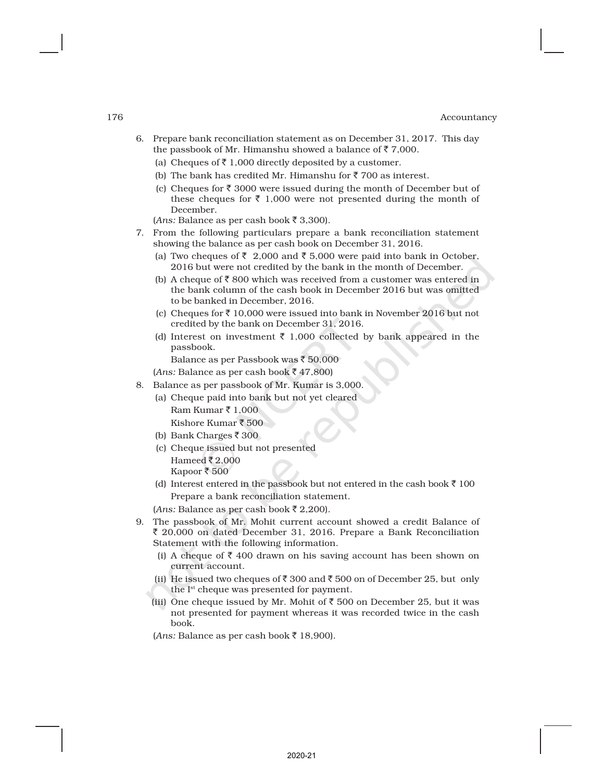- 6. Prepare bank reconciliation statement as on December 31, 2017. This day the passbook of Mr. Himanshu showed a balance of  $\bar{\tau}$  7,000.
	- (a) Cheques of  $\bar{\tau}$  1,000 directly deposited by a customer.
	- (b) The bank has credited Mr. Himanshu for  $\bar{z}$  700 as interest.
	- (c) Cheques for  $\bar{\tau}$  3000 were issued during the month of December but of these cheques for  $\bar{\tau}$  1,000 were not presented during the month of December.

 $(Ans: \text{Balance as per cash book } \overline{3}, 300).$ 

- 7. From the following particulars prepare a bank reconciliation statement showing the balance as per cash book on December 31, 2016.
	- (a) Two cheques of  $\bar{\tau}$  2,000 and  $\bar{\tau}$  5,000 were paid into bank in October, 2016 but were not credited by the bank in the month of December.
	- (b) A cheque of  $\overline{\mathfrak{c}}$  800 which was received from a customer was entered in the bank column of the cash book in December 2016 but was omitted to be banked in December, 2016.
	- (c) Cheques for  $\bar{z}$  10,000 were issued into bank in November 2016 but not credited by the bank on December 31, 2016.
	- (d) Interest on investment  $\bar{\tau}$  1,000 collected by bank appeared in the passbook.

Balance as per Passbook was  $\bar{z}$  50,000

 $(Ans: Balance as per cash book ₹ 47,800)$ 

- 8. Balance as per passbook of Mr. Kumar is 3,000.
	- (a) Cheque paid into bank but not yet cleared Ram Kumar ₹ 1,000 Kishore Kumar  $\bar{\bar{\mathbf{z}}}$  500
	- (b) Bank Charges  $\bar{z}$  300
	- (c) Cheque issued but not presented Hameed  $\bar{z}$  2,000 Kapoor ₹ 500
	- (d) Interest entered in the passbook but not entered in the cash book  $\bar{z}$  100 Prepare a bank reconciliation statement.

 $(Ans: Balance as per cash book ₹ 2,200).$ 

- 9. The passbook of Mr. Mohit current account showed a credit Balance of  $\bar{\xi}$  20,000 on dated December 31, 2016. Prepare a Bank Reconciliation Statement with the following information.
	- (i) A cheque of  $\bar{\tau}$  400 drawn on his saving account has been shown on current account.
	- (ii) He issued two cheques of  $\bar{\tau}$  300 and  $\bar{\tau}$  500 on of December 25, but only the Ist cheque was presented for payment.
	- (iii) One cheque issued by Mr. Mohit of  $\bar{z}$  500 on December 25, but it was not presented for payment whereas it was recorded twice in the cash book.

 $(Ans: Balance as per cash book ₹ 18,900).$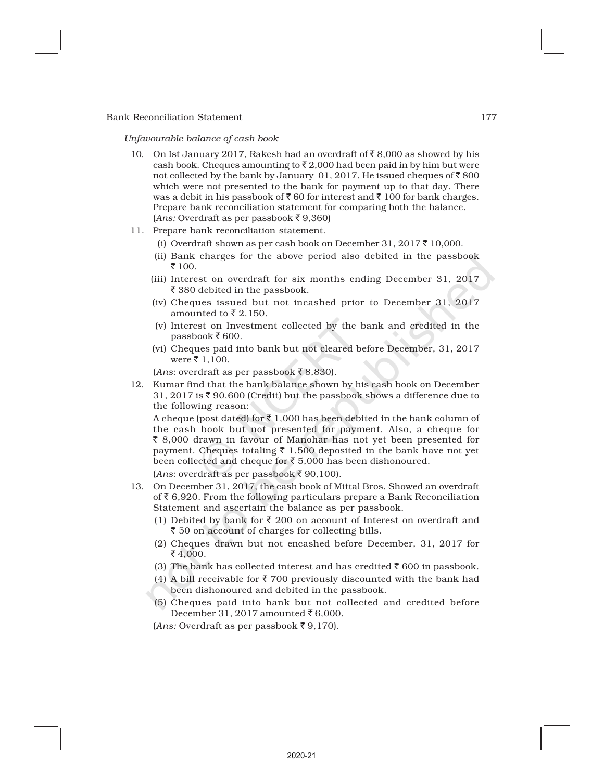*Unfavourable balance of cash book*

- 10. On Ist January 2017, Rakesh had an overdraft of  $\bar{\tau}$  8,000 as showed by his cash book. Cheques amounting to  $\bar{\tau}$  2,000 had been paid in by him but were not collected by the bank by January 01, 2017. He issued cheques of  $\bar{z}$  800 which were not presented to the bank for payment up to that day. There was a debit in his passbook of  $\bar{z}$  60 for interest and  $\bar{z}$  100 for bank charges. Prepare bank reconciliation statement for comparing both the balance.  $(Ans: Overdraff as per passbook ₹ 9,360)$
- 11. Prepare bank reconciliation statement.
	- (i) Overdraft shown as per cash book on December 31, 2017  $\bar{\tau}$  10,000.
	- (ii) Bank charges for the above period also debited in the passbook ₹ 100.
	- (iii) Interest on overdraft for six months ending December 31, 2017 ₹ 380 debited in the passbook.
	- (iv) Cheques issued but not incashed prior to December 31, 2017 amounted to  $\bar{z}$  2,150.
	- (v) Interest on Investment collected by the bank and credited in the passbook ₹600.
	- (vi) Cheques paid into bank but not cleared before December, 31, 2017  $were \bar{\tau} 1,100.$

 $(Ans: overdraff as per passbook$  $\overline{\xi}$  8,830).

12. Kumar find that the bank balance shown by his cash book on December 31, 2017 is  $\bar{\tau}$  90,600 (Credit) but the passbook shows a difference due to the following reason:

A cheque (post dated) for  $\bar{\xi}$  1,000 has been debited in the bank column of the cash book but not presented for payment. Also, a cheque for ₹ 8,000 drawn in favour of Manohar has not yet been presented for payment. Cheques totaling  $\bar{\tau}$  1,500 deposited in the bank have not yet been collected and cheque for  $\bar{\tau}$  5,000 has been dishonoured.

 $(Ans: overdraff as per passbook$  $\overline{\xi}$  90,100).

- 13. On December 31, 2017, the cash book of Mittal Bros. Showed an overdraft of  $\bar{\tau}$  6,920. From the following particulars prepare a Bank Reconciliation Statement and ascertain the balance as per passbook.
	- (1) Debited by bank for  $\bar{\tau}$  200 on account of Interest on overdraft and ₹ 50 on account of charges for collecting bills.
	- (2) Cheques drawn but not encashed before December, 31, 2017 for  $\bar{5}4,000.$
	- (3) The bank has collected interest and has credited  $\bar{\tau}$  600 in passbook.
	- (4) A bill receivable for  $\bar{\tau}$  700 previously discounted with the bank had been dishonoured and debited in the passbook.
	- (5) Cheques paid into bank but not collected and credited before December 31, 2017 amounted ₹6,000.

 $(Ans: Overdraff as per passbook \overline{5} 9,170).$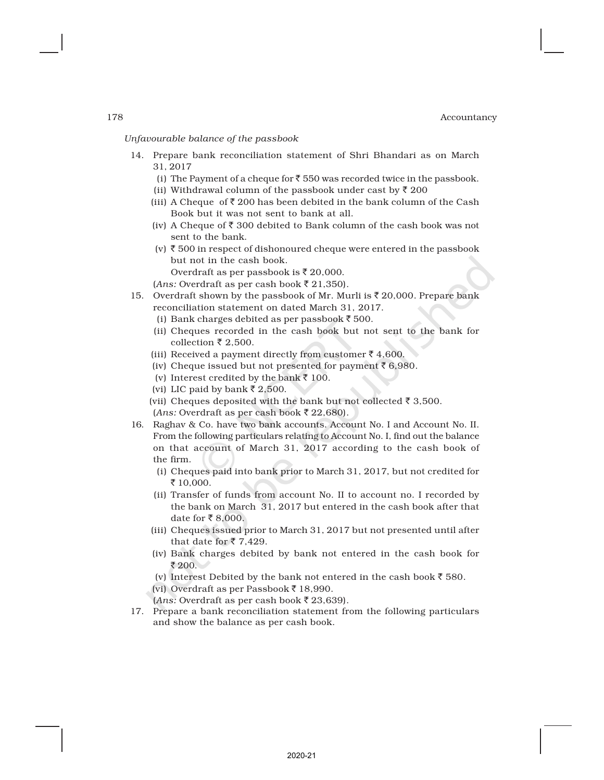*Unfavourable balance of the passbook*

- 14. Prepare bank reconciliation statement of Shri Bhandari as on March 31, 2017
	- (i) The Payment of a cheque for  $\bar{z}$  550 was recorded twice in the passbook.
	- (ii) Withdrawal column of the passbook under cast by  $\bar{z}$  200
	- (iii) A Cheque of  $\bar{\tau}$  200 has been debited in the bank column of the Cash Book but it was not sent to bank at all.
	- (iv) A Cheque of  $\bar{\tau}$  300 debited to Bank column of the cash book was not sent to the bank.
	- (v)  $\bar{\tau}$  500 in respect of dishonoured cheque were entered in the passbook but not in the cash book.
		- Overdraft as per passbook is  $\bar{\tau}$  20,000.

 $(Ans: Overdraff as per cash book$  $\overline{\xi}$  21,350).

- 15. Overdraft shown by the passbook of Mr. Murli is  $\bar{\tau}$  20,000. Prepare bank reconciliation statement on dated March 31, 2017.
	- (i) Bank charges debited as per passbook  $\bar{z}$  500.
	- (ii) Cheques recorded in the cash book but not sent to the bank for collection  $\bar{\tau}$  2,500.
	- (iii) Received a payment directly from customer  $\bar{z}$  4,600.
	- (iv) Cheque issued but not presented for payment  $\bar{\tau}$  6,980.
	- (v) Interest credited by the bank  $\bar{\tau}$  100.
	- (vi) LIC paid by bank  $\overline{\xi}$  2,500.
	- (vii) Cheques deposited with the bank but not collected  $\bar{\tau}$  3,500.  $(Ans: Overdraff as per cash book \t{7} 22,680).$
- 16. Raghav & Co. have two bank accounts. Account No. I and Account No. II. From the following particulars relating to Account No. I, find out the balance on that account of March 31, 2017 according to the cash book of the firm.
	- (i) Cheques paid into bank prior to March 31, 2017, but not credited for ₹ 10,000.
	- (ii) Transfer of funds from account No. II to account no. I recorded by the bank on March 31, 2017 but entered in the cash book after that date for  $\overline{\xi}$  8,000.
	- (iii) Cheques issued prior to March 31, 2017 but not presented until after that date for  $\overline{5}$  7,429.
	- (iv) Bank charges debited by bank not entered in the cash book for ₹ 200.
	- (v) Interest Debited by the bank not entered in the cash book  $\bar{\tau}$  580.

(vi) Overdraft as per Passbook  $\bar{z}$  18,990.

 $(Ans: Overdraff as per cash book \t{7} 23,639).$ 

17. Prepare a bank reconciliation statement from the following particulars and show the balance as per cash book.